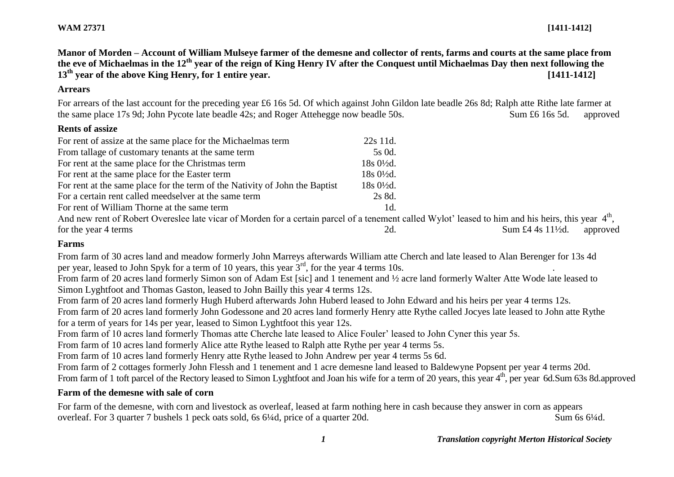**Manor of Morden – Account of William Mulseye farmer of the demesne and collector of rents, farms and courts at the same place from the eve of Michaelmas in the 12th year of the reign of King Henry IV after the Conquest until Michaelmas Day then next following the 13th year of the above King Henry, for 1 entire year. [1411-1412]**

#### **Arrears**

For arrears of the last account for the preceding year £6 16s 5d. Of which against John Gildon late beadle 26s 8d; Ralph atte Rithe late farmer at the same place 17s 9d; John Pycote late beadle 42s; and Roger Attehegge now beadle 50s. Sum £6 16s 5d. approved

# **Rents of assize**

| For rent of assize at the same place for the Michaelmas term                                                                                                    | 22s 11d.               |                                          |
|-----------------------------------------------------------------------------------------------------------------------------------------------------------------|------------------------|------------------------------------------|
| From tallage of customary tenants at the same term                                                                                                              | 5s 0d.                 |                                          |
| For rent at the same place for the Christmas term                                                                                                               | $18s\ 0\frac{1}{2}d$ . |                                          |
| For rent at the same place for the Easter term                                                                                                                  | $18s\ 0\frac{1}{2}d$ . |                                          |
| For rent at the same place for the term of the Nativity of John the Baptist                                                                                     | $18s0\frac{1}{2}d$ .   |                                          |
| For a certain rent called meedselver at the same term                                                                                                           | 2s 8d.                 |                                          |
| For rent of William Thorne at the same term                                                                                                                     | 1d.                    |                                          |
| And new rent of Robert Overeslee late vicar of Morden for a certain parcel of a tenement called Wylot' leased to him and his heirs, this year 4 <sup>th</sup> , |                        |                                          |
| for the year 4 terms                                                                                                                                            | 2d.                    | Sum £4 4s $11\frac{1}{2}$ d.<br>approved |

# **Farms**

From farm of 30 acres land and meadow formerly John Marreys afterwards William atte Cherch and late leased to Alan Berenger for 13s 4d per year, leased to John Spyk for a term of 10 years, this year  $3<sup>rd</sup>$ , for the year 4 terms 10s.

From farm of 20 acres land formerly Simon son of Adam Est [sic] and 1 tenement and ½ acre land formerly Walter Atte Wode late leased to Simon Lyghtfoot and Thomas Gaston, leased to John Bailly this year 4 terms 12s.

From farm of 20 acres land formerly Hugh Huberd afterwards John Huberd leased to John Edward and his heirs per year 4 terms 12s.

From farm of 20 acres land formerly John Godessone and 20 acres land formerly Henry atte Rythe called Jocyes late leased to John atte Rythe for a term of years for 14s per year, leased to Simon Lyghtfoot this year 12s.

From farm of 10 acres land formerly Thomas atte Cherche late leased to Alice Fouler' leased to John Cyner this year 5s.

From farm of 10 acres land formerly Alice atte Rythe leased to Ralph atte Rythe per year 4 terms 5s.

From farm of 10 acres land formerly Henry atte Rythe leased to John Andrew per year 4 terms 5s 6d.

From farm of 2 cottages formerly John Flessh and 1 tenement and 1 acre demesne land leased to Baldewyne Popsent per year 4 terms 20d.

From farm of 1 toft parcel of the Rectory leased to Simon Lyghtfoot and Joan his wife for a term of 20 years, this year  $4<sup>th</sup>$ , per year 6d.Sum 63s 8d.approved

# **Farm of the demesne with sale of corn**

For farm of the demesne, with corn and livestock as overleaf, leased at farm nothing here in cash because they answer in corn as appears overleaf. For 3 quarter 7 bushels 1 peck oats sold, 6s 6¼d, price of a quarter 20d. Sum 6s 6¼d.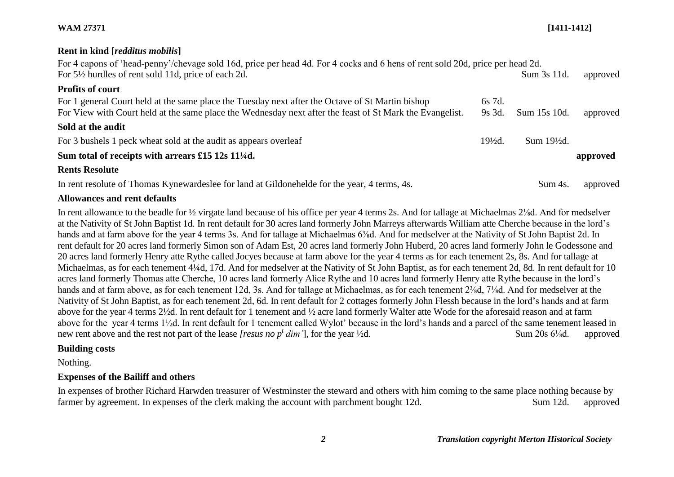# **WAM 27371 [1411-1412]**

### **Rent in kind [***redditus mobilis***]**

For 4 capons of 'head-penny'/chevage sold 16d, price per head 4d. For 4 cocks and 6 hens of rent sold 20d, price per head 2d. For 5<sup>1/2</sup> hurdles of rent sold 11d, price of each 2d. Sum 3s 11d. approved **Profits of court**

| Profits of court                                                                                                                                                                                                                                                           |                    |                        |            |
|----------------------------------------------------------------------------------------------------------------------------------------------------------------------------------------------------------------------------------------------------------------------------|--------------------|------------------------|------------|
| For 1 general Court held at the same place the Tuesday next after the Octave of St Martin bishop<br>For View with Court held at the same place the Wednesday next after the feast of St Mark the Evangelist.                                                               | 6s 7d.<br>$9s$ 3d. | Sum 15s 10d.           | approved   |
| Sold at the audit                                                                                                                                                                                                                                                          |                    |                        |            |
| For 3 bushels 1 peck wheat sold at the audit as appears overleaf                                                                                                                                                                                                           | $19\frac{1}{2}d$ . | $Sum 19\frac{1}{2}d$ . |            |
| Sum total of receipts with arrears $£15 12s 11/4d$ .                                                                                                                                                                                                                       |                    |                        | approved   |
| <b>Rents Resolute</b>                                                                                                                                                                                                                                                      |                    |                        |            |
| $\mathbf{I}$ , $\mathbf{I}$ , $\mathbf{C}$ and $\mathbf{I}$ is the set of $\mathbf{I}$ is the set of $\mathbf{I}$ is the set of $\mathbf{I}$ is the set of $\mathbf{I}$ is the set of $\mathbf{I}$ is the set of $\mathbf{I}$ is the set of $\mathbf{I}$ is the set of $\$ |                    |                        | $\sim$ 1 1 |

In rent resolute of Thomas Kynewardeslee for land at Gildonehelde for the year, 4 terms, 4s. Sum 4s. approved

# **Allowances and rent defaults**

In rent allowance to the beadle for ½ virgate land because of his office per year 4 terms 2s. And for tallage at Michaelmas 2⅛d. And for medselver at the Nativity of St John Baptist 1d. In rent default for 30 acres land formerly John Marreys afterwards William atte Cherche because in the lord's hands and at farm above for the year 4 terms 3s. And for tallage at Michaelmas 6<sup>3</sup>/<sub>8</sub>d. And for medselver at the Nativity of St John Baptist 2d. In rent default for 20 acres land formerly Simon son of Adam Est, 20 acres land formerly John Huberd, 20 acres land formerly John le Godessone and 20 acres land formerly Henry atte Rythe called Jocyes because at farm above for the year 4 terms as for each tenement 2s, 8s. And for tallage at Michaelmas, as for each tenement 4¼d, 17d. And for medselver at the Nativity of St John Baptist, as for each tenement 2d, 8d. In rent default for 10 acres land formerly Thomas atte Cherche, 10 acres land formerly Alice Rythe and 10 acres land formerly Henry atte Rythe because in the lord's hands and at farm above, as for each tenement 12d, 3s. And for tallage at Michaelmas, as for each tenement  $2\frac{3}{8}d$ ,  $7\frac{1}{8}d$ . And for medselver at the Nativity of St John Baptist, as for each tenement 2d, 6d. In rent default for 2 cottages formerly John Flessh because in the lord's hands and at farm above for the year 4 terms 2½d. In rent default for 1 tenement and ½ acre land formerly Walter atte Wode for the aforesaid reason and at farm above for the year 4 terms 1½d. In rent default for 1 tenement called Wylot' because in the lord's hands and a parcel of the same tenement leased in new rent above and the rest not part of the lease *[resus no p<sup>t</sup> dim'*], for the year ½d. Sum 20s 6<sup>1</sup>/<sub>8</sub>d. approved

## **Building costs**

Nothing.

# **Expenses of the Bailiff and others**

In expenses of brother Richard Harwden treasurer of Westminster the steward and others with him coming to the same place nothing because by farmer by agreement. In expenses of the clerk making the account with parchment bought 12d. Sum 12d. approved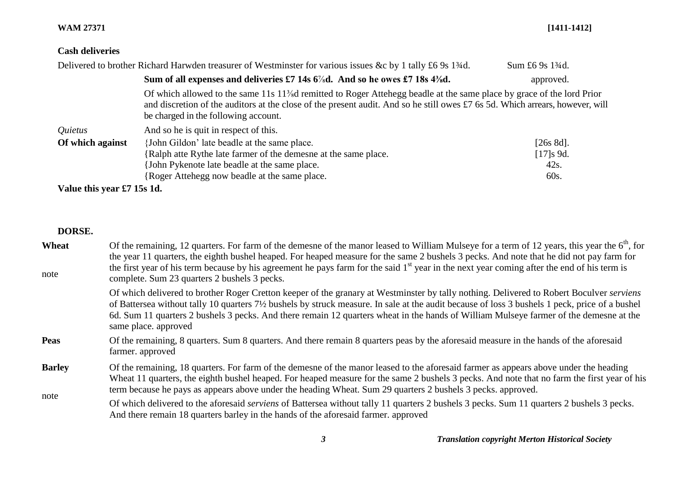### **WAM 27371 [1411-1412]**

# **Cash deliveries**

|                            | Delivered to brother Richard Harwden treasurer of Westminster for various issues &c by 1 tally £6 9s 1 <sup>3</sup> /4d.                                                                                                                                                                                                  | Sum £6 9s 13/4d. |
|----------------------------|---------------------------------------------------------------------------------------------------------------------------------------------------------------------------------------------------------------------------------------------------------------------------------------------------------------------------|------------------|
|                            | Sum of all expenses and deliveries £7 14s 6%d. And so he owes £7 18s 4%d.                                                                                                                                                                                                                                                 | approved.        |
|                            | Of which allowed to the same 11s 11 <sup>3</sup> / <sub>8</sub> d remitted to Roger Attehegg beadle at the same place by grace of the lord Prior<br>and discretion of the auditors at the close of the present audit. And so he still owes £7 6s 5d. Which arrears, however, will<br>be charged in the following account. |                  |
| Quietus                    | And so he is quit in respect of this.                                                                                                                                                                                                                                                                                     |                  |
| Of which against           | {John Gildon' late beadle at the same place.                                                                                                                                                                                                                                                                              | $[26s 8d]$ .     |
|                            | {Ralph atte Rythe late farmer of the demesne at the same place.                                                                                                                                                                                                                                                           | [17]s 9d.        |
|                            | John Pykenote late beadle at the same place.                                                                                                                                                                                                                                                                              | 42s.             |
|                            | Roger Attehegg now beadle at the same place.                                                                                                                                                                                                                                                                              | 60s.             |
| Value this year £7 15s 1d. |                                                                                                                                                                                                                                                                                                                           |                  |

**DORSE.** 

| Wheat<br>note | Of the remaining, 12 quarters. For farm of the demesne of the manor leased to William Mulseye for a term of 12 years, this year the $6th$ , for<br>the year 11 quarters, the eighth bushel heaped. For heaped measure for the same 2 bushels 3 pecks. And note that he did not pay farm for<br>the first year of his term because by his agreement he pays farm for the said 1 <sup>st</sup> year in the next year coming after the end of his term is<br>complete. Sum 23 quarters 2 bushels 3 pecks. |
|---------------|--------------------------------------------------------------------------------------------------------------------------------------------------------------------------------------------------------------------------------------------------------------------------------------------------------------------------------------------------------------------------------------------------------------------------------------------------------------------------------------------------------|
|               | Of which delivered to brother Roger Cretton keeper of the granary at Westminster by tally nothing. Delivered to Robert Boculver serviens<br>of Battersea without tally 10 quarters 7 <sup>1</sup> / <sub>2</sub> bushels by struck measure. In sale at the audit because of loss 3 bushels 1 peck, price of a bushel<br>6d. Sum 11 quarters 2 bushels 3 pecks. And there remain 12 quarters wheat in the hands of William Mulseye farmer of the demesne at the<br>same place. approved                 |
| <b>Peas</b>   | Of the remaining, 8 quarters. Sum 8 quarters. And there remain 8 quarters peas by the aforesaid measure in the hands of the aforesaid<br>farmer. approved                                                                                                                                                                                                                                                                                                                                              |
| <b>Barley</b> | Of the remaining, 18 quarters. For farm of the demesne of the manor leased to the aforesaid farmer as appears above under the heading<br>Wheat 11 quarters, the eighth bushel heaped. For heaped measure for the same 2 bushels 3 pecks. And note that no farm the first year of his                                                                                                                                                                                                                   |

note term because he pays as appears above under the heading Wheat. Sum 29 quarters 2 bushels 3 pecks. approved. Of which delivered to the aforesaid *serviens* of Battersea without tally 11 quarters 2 bushels 3 pecks. Sum 11 quarters 2 bushels 3 pecks. And there remain 18 quarters barley in the hands of the aforesaid farmer. approved